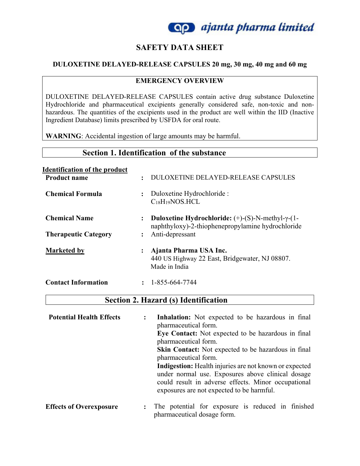

## **SAFETY DATA SHEET**

#### **DULOXETINE DELAYED-RELEASE CAPSULES 20 mg, 30 mg, 40 mg and 60 mg**

#### **EMERGENCY OVERVIEW**

DULOXETINE DELAYED-RELEASE CAPSULES contain active drug substance Duloxetine Hydrochloride and pharmaceutical excipients generally considered safe, non-toxic and nonhazardous. The quantities of the excipients used in the product are well within the IID (Inactive Ingredient Database) limits prescribed by USFDA for oral route.

**WARNING**: Accidental ingestion of large amounts may be harmful.

## **Section 1. Identification of the substance**

| <b>Identification of the product</b> |                                                                                                                                                    |
|--------------------------------------|----------------------------------------------------------------------------------------------------------------------------------------------------|
| <b>Product name</b>                  | <b>DULOXETINE DELAYED-RELEASE CAPSULES</b><br>$\ddot{\cdot}$                                                                                       |
| <b>Chemical Formula</b>              | Duloxetine Hydrochloride :<br>$\ddot{\cdot}$<br>$C_{18}H_{19}NOS.HCL$                                                                              |
| <b>Chemical Name</b>                 | <b>Duloxetine Hydrochloride:</b> $(+)$ - $(S)$ -N-methyl- $\gamma$ - $(1$ -<br>$\ddot{\cdot}$<br>naphthyloxy)-2-thiophenepropylamine hydrochloride |
| <b>Therapeutic Category</b>          | Anti-depressant<br>$\bullet$                                                                                                                       |
| <b>Marketed by</b>                   | Ajanta Pharma USA Inc.<br>፡<br>440 US Highway 22 East, Bridgewater, NJ 08807.<br>Made in India                                                     |
| <b>Contact Information</b>           | 1-855-664-7744                                                                                                                                     |

## **Section 2. Hazard (s) Identification**

| <b>Potential Health Effects</b> | $\ddot{\cdot}$ | Inhalation: Not expected to be hazardous in final<br>pharmaceutical form.                                                                                                                                              |
|---------------------------------|----------------|------------------------------------------------------------------------------------------------------------------------------------------------------------------------------------------------------------------------|
|                                 |                | Eye Contact: Not expected to be hazardous in final<br>pharmaceutical form.                                                                                                                                             |
|                                 |                | <b>Skin Contact:</b> Not expected to be hazardous in final<br>pharmaceutical form.                                                                                                                                     |
|                                 |                | <b>Indigestion:</b> Health injuries are not known or expected<br>under normal use. Exposures above clinical dosage<br>could result in adverse effects. Minor occupational<br>exposures are not expected to be harmful. |
| <b>Effects of Overexposure</b>  | $\ddot{\cdot}$ | The potential for exposure is reduced in finished                                                                                                                                                                      |

pharmaceutical dosage form.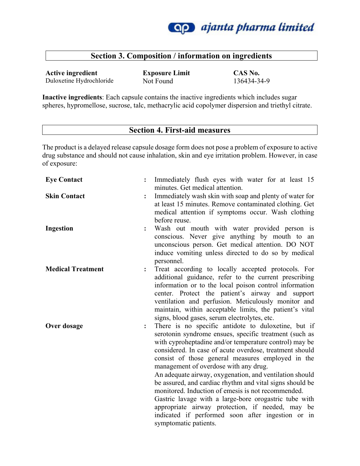

## **Section 3. Composition / information on ingredients**

**Active ingredient Exposure Limit CAS No.** Duloxetine Hydrochloride Not Found 136434-34-9

**Inactive ingredients**: Each capsule contains the inactive ingredients which includes sugar spheres, hypromellose, sucrose, talc, methacrylic acid copolymer dispersion and triethyl citrate.

### **Section 4. First-aid measures**

The product is a delayed release capsule dosage form does not pose a problem of exposure to active drug substance and should not cause inhalation, skin and eye irritation problem. However, in case of exposure:

| <b>Eye Contact</b>       |                | Immediately flush eyes with water for at least 15<br>minutes. Get medical attention.                                                                                                                                                                                                                                                                                                                                                                                                                                                                                                                                                                                                                     |
|--------------------------|----------------|----------------------------------------------------------------------------------------------------------------------------------------------------------------------------------------------------------------------------------------------------------------------------------------------------------------------------------------------------------------------------------------------------------------------------------------------------------------------------------------------------------------------------------------------------------------------------------------------------------------------------------------------------------------------------------------------------------|
| <b>Skin Contact</b>      |                | Immediately wash skin with soap and plenty of water for<br>at least 15 minutes. Remove contaminated clothing. Get<br>medical attention if symptoms occur. Wash clothing<br>before reuse.                                                                                                                                                                                                                                                                                                                                                                                                                                                                                                                 |
| <b>Ingestion</b>         | $\ddot{\cdot}$ | Wash out mouth with water provided person is<br>conscious. Never give anything by mouth to an<br>unconscious person. Get medical attention. DO NOT<br>induce vomiting unless directed to do so by medical<br>personnel.                                                                                                                                                                                                                                                                                                                                                                                                                                                                                  |
| <b>Medical Treatment</b> | $\ddot{\cdot}$ | Treat according to locally accepted protocols. For<br>additional guidance, refer to the current prescribing<br>information or to the local poison control information<br>center. Protect the patient's airway and support<br>ventilation and perfusion. Meticulously monitor and<br>maintain, within acceptable limits, the patient's vital<br>signs, blood gases, serum electrolytes, etc.                                                                                                                                                                                                                                                                                                              |
| Over dosage              |                | There is no specific antidote to duloxetine, but if<br>serotonin syndrome ensues, specific treatment (such as<br>with cyproheptadine and/or temperature control) may be<br>considered. In case of acute overdose, treatment should<br>consist of those general measures employed in the<br>management of overdose with any drug.<br>An adequate airway, oxygenation, and ventilation should<br>be assured, and cardiac rhythm and vital signs should be<br>monitored. Induction of emesis is not recommended.<br>Gastric lavage with a large-bore orogastric tube with<br>appropriate airway protection, if needed, may be<br>indicated if performed soon after ingestion or in<br>symptomatic patients. |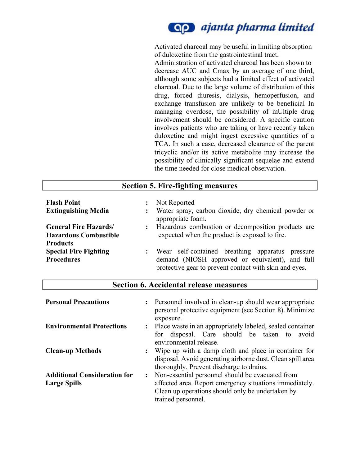

Activated charcoal may be useful in limiting absorption of duloxetine from the gastrointestinal tract.

Administration of activated charcoal has been shown to decrease AUC and Cmax by an average of one third, although some subjects had a limited effect of activated charcoal. Due to the large volume of distribution of this drug, forced diuresis, dialysis, hemoperfusion, and exchange transfusion are unlikely to be beneficial In managing overdose, the possibility of mUltiple drug involvement should be considered. A specific caution involves patients who are taking or have recently taken duloxetine and might ingest excessive quantities of a TCA. In such a case, decreased clearance of the parent tricyclic and/or its active metabolite may increase the possibility of clinically significant sequelae and extend the time needed for close medical observation.

|                                                              | <b>Section 5. Fire-fighting measures</b>                                                                                                   |
|--------------------------------------------------------------|--------------------------------------------------------------------------------------------------------------------------------------------|
| <b>Flash Point</b>                                           | Not Reported                                                                                                                               |
| <b>Extinguishing Media</b>                                   | Water spray, carbon dioxide, dry chemical powder or                                                                                        |
| <b>General Fire Hazards/</b><br><b>Hazardous Combustible</b> | appropriate foam.<br>Hazardous combustion or decomposition products are<br>$\ddot{\cdot}$<br>expected when the product is exposed to fire. |
| <b>Products</b>                                              | Wear self-contained breathing apparatus pressure                                                                                           |
| <b>Special Fire Fighting</b>                                 | demand (NIOSH approved or equivalent), and full                                                                                            |
| <b>Procedures</b>                                            | protective gear to prevent contact with skin and eyes.                                                                                     |

#### **Section 6. Accidental release measures**

| <b>Personal Precautions</b>                                |                | Personnel involved in clean-up should wear appropriate<br>personal protective equipment (see Section 8). Minimize<br>exposure.                                                        |  |
|------------------------------------------------------------|----------------|---------------------------------------------------------------------------------------------------------------------------------------------------------------------------------------|--|
| <b>Environmental Protections</b>                           | $\ddot{\cdot}$ | Place waste in an appropriately labeled, sealed container<br>disposal. Care should be taken to<br>avoid<br>for<br>environmental release.                                              |  |
| <b>Clean-up Methods</b>                                    |                | Wipe up with a damp cloth and place in container for<br>disposal. Avoid generating airborne dust. Clean spill area<br>thoroughly. Prevent discharge to drains.                        |  |
| <b>Additional Consideration for</b><br><b>Large Spills</b> |                | Non-essential personnel should be evacuated from<br>affected area. Report emergency situations immediately.<br>Clean up operations should only be undertaken by<br>trained personnel. |  |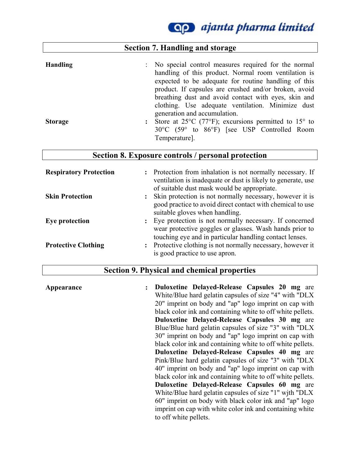**Qp** ajanta pharma limited

|                 | <b>Section 7. Handling and storage</b>                                                                                                                                                                                                                                                                                                      |
|-----------------|---------------------------------------------------------------------------------------------------------------------------------------------------------------------------------------------------------------------------------------------------------------------------------------------------------------------------------------------|
| <b>Handling</b> | : No special control measures required for the normal<br>handling of this product. Normal room ventilation is<br>expected to be adequate for routine handling of this<br>product. If capsules are crushed and/or broken, avoid<br>breathing dust and avoid contact with eyes, skin and<br>clothing. Use adequate ventilation. Minimize dust |
| <b>Storage</b>  | generation and accumulation.<br>Store at 25 $\rm{^{\circ}C}$ (77 $\rm{^{\circ}F}$ ); excursions permitted to 15 $\rm{^{\circ}}$ to<br>$\ddot{\cdot}$<br>30°C (59° to 86°F) [see USP Controlled Room<br>Temperature].                                                                                                                        |

|  |  |  |  | Section 8. Exposure controls / personal protection |
|--|--|--|--|----------------------------------------------------|
|--|--|--|--|----------------------------------------------------|

| <b>Respiratory Protection</b> | Protection from inhalation is not normally necessary. If<br>$\ddot{\cdot}$<br>ventilation is inadequate or dust is likely to generate, use<br>of suitable dust mask would be appropriate. |
|-------------------------------|-------------------------------------------------------------------------------------------------------------------------------------------------------------------------------------------|
| <b>Skin Protection</b>        | Skin protection is not normally necessary, however it is<br>$\ddot{\cdot}$<br>good practice to avoid direct contact with chemical to use<br>suitable gloves when handling.                |
| Eye protection                | Eye protection is not normally necessary. If concerned<br>wear protective goggles or glasses. Wash hands prior to<br>touching eye and in particular handling contact lenses.              |
| <b>Protective Clothing</b>    | Protective clothing is not normally necessary, however it<br>is good practice to use apron.                                                                                               |

#### **Section 9. Physical and chemical properties**

**Appearance : Duloxetine Delayed-Release Capsules 20 mg** are White/Blue hard gelatin capsules of size "4" with "DLX 20" imprint on body and "ap" logo imprint on cap with black color ink and containing white to off white pellets. **Duloxetine Delayed-Release Capsules 30 mg** are Blue/Blue hard gelatin capsules of size "3" with "DLX 30" imprint on body and "ap" logo imprint on cap with black color ink and containing white to off white pellets. **Duloxetine Delayed-Release Capsules 40 mg** are Pink/Blue hard gelatin capsules of size ''3'' with ''DLX 40'' imprint on body and ''ap'' logo imprint on cap with black color ink and containing white to off white pellets. **Duloxetine Delayed-Release Capsules 60 mg** are White/Blue hard gelatin capsules of size "1" wjth "DLX 60" imprint on body with black color ink and "ap" logo imprint on cap with white color ink and containing white to off white pellets.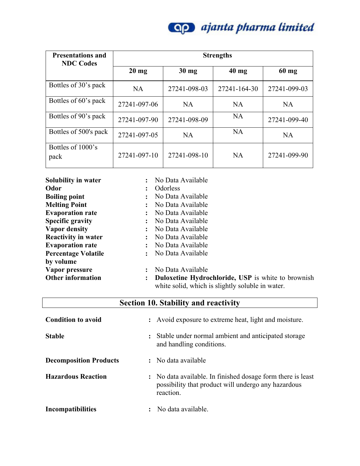

| <b>Presentations and</b><br><b>NDC Codes</b> | <b>Strengths</b> |                 |              |              |
|----------------------------------------------|------------------|-----------------|--------------|--------------|
|                                              | $20 \text{ mg}$  | $30 \text{ mg}$ | $40$ mg      | $60$ mg      |
| Bottles of 30's pack                         | <b>NA</b>        | 27241-098-03    | 27241-164-30 | 27241-099-03 |
| Bottles of 60's pack                         | 27241-097-06     | <b>NA</b>       | <b>NA</b>    | <b>NA</b>    |
| Bottles of 90's pack                         | 27241-097-90     | 27241-098-09    | <b>NA</b>    | 27241-099-40 |
| Bottles of 500's pack                        | 27241-097-05     | <b>NA</b>       | <b>NA</b>    | <b>NA</b>    |
| Bottles of 1000's<br>pack                    | 27241-097-10     | 27241-098-10    | <b>NA</b>    | 27241-099-90 |

| Solubility in water        | No Data Available                                                                                             |
|----------------------------|---------------------------------------------------------------------------------------------------------------|
| <b>Odor</b>                | <b>Odorless</b>                                                                                               |
| <b>Boiling point</b>       | No Data Available                                                                                             |
| <b>Melting Point</b>       | No Data Available                                                                                             |
| <b>Evaporation rate</b>    | No Data Available                                                                                             |
| <b>Specific gravity</b>    | No Data Available                                                                                             |
| <b>Vapor density</b>       | No Data Available                                                                                             |
| <b>Reactivity in water</b> | No Data Available                                                                                             |
| <b>Evaporation rate</b>    | No Data Available                                                                                             |
| <b>Percentage Volatile</b> | No Data Available                                                                                             |
| by volume                  |                                                                                                               |
| Vapor pressure             | No Data Available                                                                                             |
| <b>Other information</b>   | <b>Duloxetine Hydrochloride, USP</b> is white to brownish<br>white solid, which is slightly soluble in water. |

| <b>Section 10. Stability and reactivity</b> |
|---------------------------------------------|
|---------------------------------------------|

| <b>Condition to avoid</b>     | : Avoid exposure to extreme heat, light and moisture.                                                                           |
|-------------------------------|---------------------------------------------------------------------------------------------------------------------------------|
| <b>Stable</b>                 | Stable under normal ambient and anticipated storage<br>$\ddot{\phantom{a}}$<br>and handling conditions.                         |
| <b>Decomposition Products</b> | : No data available                                                                                                             |
| <b>Hazardous Reaction</b>     | : No data available. In finished dosage form there is least<br>possibility that product will undergo any hazardous<br>reaction. |
| <b>Incompatibilities</b>      | No data available.                                                                                                              |